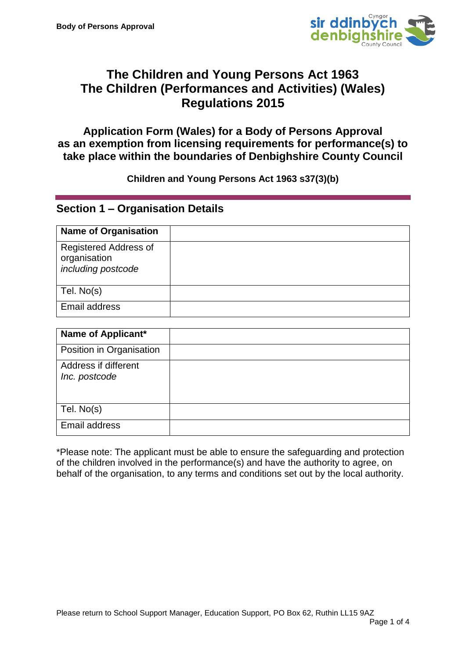

# **The Children and Young Persons Act 1963 The Children (Performances and Activities) (Wales) Regulations 2015**

**Application Form (Wales) for a Body of Persons Approval as an exemption from licensing requirements for performance(s) to take place within the boundaries of Denbighshire County Council**

#### **Children and Young Persons Act 1963 s37(3)(b)**

### **Section 1 – Organisation Details**

| <b>Name of Organisation</b>                                 |  |
|-------------------------------------------------------------|--|
| Registered Address of<br>organisation<br>including postcode |  |
| Tel. No(s)                                                  |  |
| Email address                                               |  |

| Name of Applicant*                    |  |
|---------------------------------------|--|
| Position in Organisation              |  |
| Address if different<br>Inc. postcode |  |
| Tel. No(s)                            |  |
| Email address                         |  |

\*Please note: The applicant must be able to ensure the safeguarding and protection of the children involved in the performance(s) and have the authority to agree, on behalf of the organisation, to any terms and conditions set out by the local authority.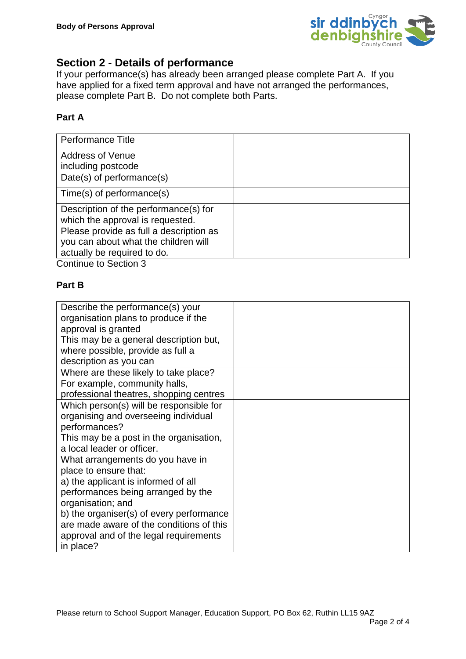

## **Section 2 - Details of performance**

If your performance(s) has already been arranged please complete Part A. If you have applied for a fixed term approval and have not arranged the performances, please complete Part B. Do not complete both Parts.

#### **Part A**

| <b>Performance Title</b>                                                  |  |
|---------------------------------------------------------------------------|--|
| <b>Address of Venue</b>                                                   |  |
| including postcode                                                        |  |
| Date(s) of performance(s)                                                 |  |
| $Time(s)$ of performance(s)                                               |  |
| Description of the performance(s) for<br>which the approval is requested. |  |
| Please provide as full a description as                                   |  |
| you can about what the children will                                      |  |
| actually be required to do.                                               |  |

Continue to Section 3

#### **Part B**

| Describe the performance(s) your         |  |
|------------------------------------------|--|
| organisation plans to produce if the     |  |
| approval is granted                      |  |
| This may be a general description but,   |  |
| where possible, provide as full a        |  |
| description as you can                   |  |
| Where are these likely to take place?    |  |
| For example, community halls,            |  |
| professional theatres, shopping centres  |  |
| Which person(s) will be responsible for  |  |
| organising and overseeing individual     |  |
| performances?                            |  |
| This may be a post in the organisation,  |  |
| a local leader or officer.               |  |
| What arrangements do you have in         |  |
| place to ensure that:                    |  |
| a) the applicant is informed of all      |  |
| performances being arranged by the       |  |
| organisation; and                        |  |
| b) the organiser(s) of every performance |  |
| are made aware of the conditions of this |  |
| approval and of the legal requirements   |  |
| in place?                                |  |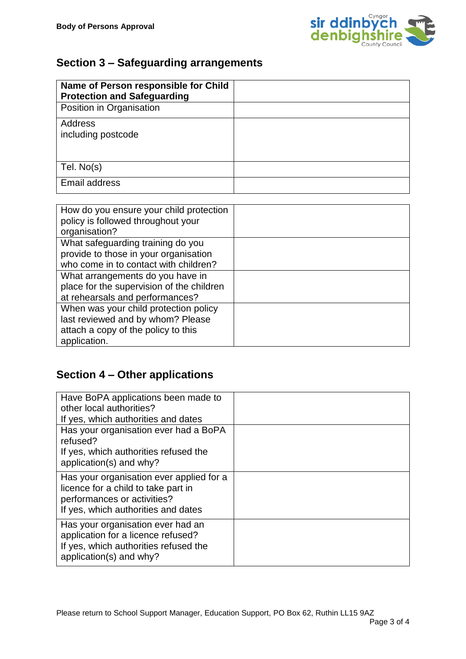

# **Section 3 – Safeguarding arrangements**

| Name of Person responsible for Child<br><b>Protection and Safeguarding</b> |  |
|----------------------------------------------------------------------------|--|
| Position in Organisation                                                   |  |
| <b>Address</b>                                                             |  |
| including postcode                                                         |  |
|                                                                            |  |
| Tel. No(s)                                                                 |  |
| Email address                                                              |  |

| How do you ensure your child protection<br>policy is followed throughout your<br>organisation?                                    |  |
|-----------------------------------------------------------------------------------------------------------------------------------|--|
| What safeguarding training do you<br>provide to those in your organisation<br>who come in to contact with children?               |  |
| What arrangements do you have in<br>place for the supervision of the children<br>at rehearsals and performances?                  |  |
| When was your child protection policy<br>last reviewed and by whom? Please<br>attach a copy of the policy to this<br>application. |  |

# **Section 4 – Other applications**

| Have BoPA applications been made to<br>other local authorities?<br>If yes, which authorities and dates                                                |  |
|-------------------------------------------------------------------------------------------------------------------------------------------------------|--|
| Has your organisation ever had a BoPA<br>refused?<br>If yes, which authorities refused the<br>application(s) and why?                                 |  |
| Has your organisation ever applied for a<br>licence for a child to take part in<br>performances or activities?<br>If yes, which authorities and dates |  |
| Has your organisation ever had an<br>application for a licence refused?<br>If yes, which authorities refused the<br>application(s) and why?           |  |